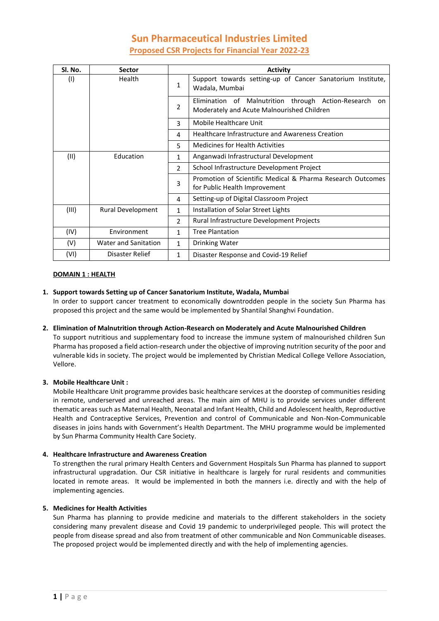# **Sun Pharmaceutical Industries Limited Proposed CSR Projects for Financial Year 2022-23**

| Sl. No. | <b>Sector</b>               |               | <b>Activity</b>                                                                                          |
|---------|-----------------------------|---------------|----------------------------------------------------------------------------------------------------------|
| (1)     | Health                      | $\mathbf{1}$  | Support towards setting-up of Cancer Sanatorium Institute,<br>Wadala, Mumbai                             |
|         |                             | 2             | Elimination of Malnutrition through Action-Research<br>on.<br>Moderately and Acute Malnourished Children |
|         |                             | 3             | Mobile Healthcare Unit                                                                                   |
|         |                             | 4             | <b>Healthcare Infrastructure and Awareness Creation</b>                                                  |
|         |                             | 5             | <b>Medicines for Health Activities</b>                                                                   |
| (11)    | Education                   | $\mathbf{1}$  | Anganwadi Infrastructural Development                                                                    |
|         |                             | 2             | School Infrastructure Development Project                                                                |
|         |                             | 3             | Promotion of Scientific Medical & Pharma Research Outcomes<br>for Public Health Improvement              |
|         |                             | 4             | Setting-up of Digital Classroom Project                                                                  |
| (III)   | Rural Development           | $\mathbf{1}$  | Installation of Solar Street Lights                                                                      |
|         |                             | $\mathcal{P}$ | Rural Infrastructure Development Projects                                                                |
| (IV)    | Environment                 | $\mathbf{1}$  | <b>Tree Plantation</b>                                                                                   |
| (V)     | <b>Water and Sanitation</b> | $\mathbf{1}$  | Drinking Water                                                                                           |
| (VI)    | Disaster Relief             | $\mathbf{1}$  | Disaster Response and Covid-19 Relief                                                                    |

### **DOMAIN 1 : HEALTH**

## **1. Support towards Setting up of Cancer Sanatorium Institute, Wadala, Mumbai**

In order to support cancer treatment to economically downtrodden people in the society Sun Pharma has proposed this project and the same would be implemented by Shantilal Shanghvi Foundation.

### **2. Elimination of Malnutrition through Action-Research on Moderately and Acute Malnourished Children**

To support nutritious and supplementary food to increase the immune system of malnourished children Sun Pharma has proposed a field action-research under the objective of improving nutrition security of the poor and vulnerable kids in society. The project would be implemented by Christian Medical College Vellore Association, Vellore.

### **3. Mobile Healthcare Unit :**

Mobile Healthcare Unit programme provides basic healthcare services at the doorstep of communities residing in remote, underserved and unreached areas. The main aim of MHU is to provide services under different thematic areas such as Maternal Health, Neonatal and Infant Health, Child and Adolescent health, Reproductive Health and Contraceptive Services, Prevention and control of Communicable and Non-Non-Communicable diseases in joins hands with Government's Health Department. The MHU programme would be implemented by Sun Pharma Community Health Care Society.

### **4. Healthcare Infrastructure and Awareness Creation**

To strengthen the rural primary Health Centers and Government Hospitals Sun Pharma has planned to support infrastructural upgradation. Our CSR initiative in healthcare is largely for rural residents and communities located in remote areas. It would be implemented in both the manners i.e. directly and with the help of implementing agencies.

### **5. Medicines for Health Activities**

Sun Pharma has planning to provide medicine and materials to the different stakeholders in the society considering many prevalent disease and Covid 19 pandemic to underprivileged people. This will protect the people from disease spread and also from treatment of other communicable and Non Communicable diseases. The proposed project would be implemented directly and with the help of implementing agencies.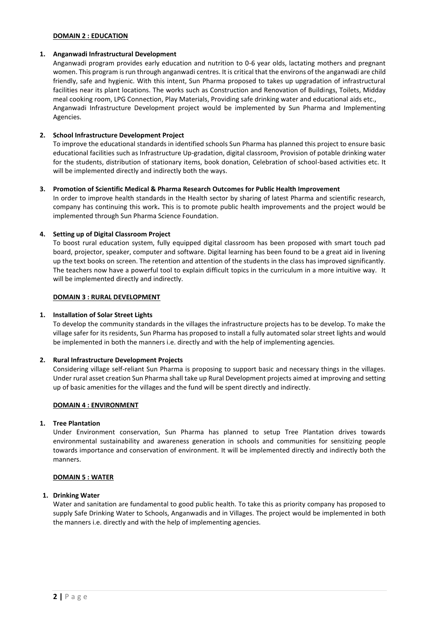### **DOMAIN 2 : EDUCATION**

#### **1. Anganwadi Infrastructural Development**

Anganwadi program provides early education and nutrition to 0-6 year olds, lactating mothers and pregnant women. This program is run through anganwadi centres. It is critical that the environs of the anganwadi are child friendly, safe and hygienic. With this intent, Sun Pharma proposed to takes up upgradation of infrastructural facilities near its plant locations. The works such as Construction and Renovation of Buildings, Toilets, Midday meal cooking room, LPG Connection, Play Materials, Providing safe drinking water and educational aids etc., Anganwadi Infrastructure Development project would be implemented by Sun Pharma and Implementing Agencies.

### **2. School Infrastructure Development Project**

To improve the educational standards in identified schools Sun Pharma has planned this project to ensure basic educational facilities such as Infrastructure Up-gradation, digital classroom, Provision of potable drinking water for the students, distribution of stationary items, book donation, Celebration of school-based activities etc. It will be implemented directly and indirectly both the ways.

### **3. Promotion of Scientific Medical & Pharma Research Outcomes for Public Health Improvement**

In order to improve health standards in the Health sector by sharing of latest Pharma and scientific research, company has continuing this work**.** This is to promote public health improvements and the project would be implemented through Sun Pharma Science Foundation.

### **4. Setting up of Digital Classroom Project**

To boost rural education system, fully equipped digital classroom has been proposed with smart touch pad board, projector, speaker, computer and software. Digital learning has been found to be a great aid in livening up the text books on screen. The retention and attention of the students in the class has improved significantly. The teachers now have a powerful tool to explain difficult topics in the curriculum in a more intuitive way. It will be implemented directly and indirectly.

### **DOMAIN 3 : RURAL DEVELOPMENT**

### **1. Installation of Solar Street Lights**

To develop the community standards in the villages the infrastructure projects has to be develop. To make the village safer for its residents, Sun Pharma has proposed to install a fully automated solar street lights and would be implemented in both the manners i.e. directly and with the help of implementing agencies.

### **2. Rural Infrastructure Development Projects**

Considering village self-reliant Sun Pharma is proposing to support basic and necessary things in the villages. Under rural asset creation Sun Pharma shall take up Rural Development projects aimed at improving and setting up of basic amenities for the villages and the fund will be spent directly and indirectly.

### **DOMAIN 4 : ENVIRONMENT**

### **1. Tree Plantation**

Under Environment conservation, Sun Pharma has planned to setup Tree Plantation drives towards environmental sustainability and awareness generation in schools and communities for sensitizing people towards importance and conservation of environment. It will be implemented directly and indirectly both the manners.

### **DOMAIN 5 : WATER**

### **1. Drinking Water**

Water and sanitation are fundamental to good public health. To take this as priority company has proposed to supply Safe Drinking Water to Schools, Anganwadis and in Villages. The project would be implemented in both the manners i.e. directly and with the help of implementing agencies.